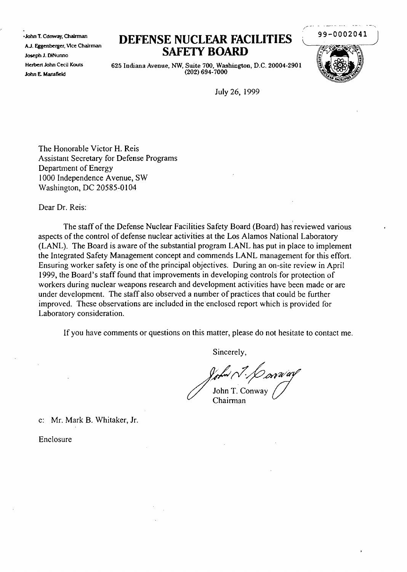.John T. Cdnway, Chairman A.J. Eggenberger, Vice Chairman Joseph J. DiNunno Herbert John Cecil Kouts John E. Mansfield

## **DEFENSE NUCLEAR FACILITIES SAFETY BOARD**



625 Indiana Avenue, NW, Suite 700, Washington, D.C. 20004-2901 (202) 694-7000

July 26, 1999

The Honorable Victor H. Reis Assistant Secretary for Defense Programs Department of Energy 1000 Independence Avenue, SW Washington, DC 20585-0104

Dear Dr. Reis:

The staff of the Defense Nuclear Facilities Safety Board (Board) has reviewed various aspects of the control of defense nuclear activities at the Los Alamos National Laboratory (LANL). The Board is aware of the substantial program LANL has put in place to implement the Integrated Safety Management concept and commends LANL management for this effort. Ensuring worker safety is one ofthe principal objectives. During an on-site review in April 1999, the Board's staff found that improvements in developing controls for protection of workers during nuclear weapons research and development activities have been made or are under development. The staff also observed a number of practices that could be further improved. These observations are included in the enclosed report which is provided for Laboratory consideration.

If you have comments or questions on this matter, please do not hesitate to contact me.

Sincerely,

John  $N$ . Downing John T. Conway

Chairman

c: Mr. Mark B. Whitaker, Jr.

Enclosure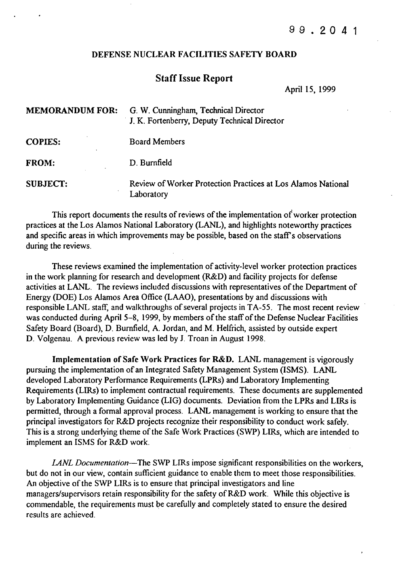## DEFENSE NUCLEAR FACILITIES SAFETY BOARD

## Staff Issue Report

April 15, 1999

| <b>MEMORANDUM FOR:</b> | G. W. Cunningham, Technical Director<br>J. K. Fortenberry, Deputy Technical Director |
|------------------------|--------------------------------------------------------------------------------------|
| <b>COPIES:</b>         | <b>Board Members</b>                                                                 |
| <b>FROM:</b>           | D. Burnfield                                                                         |
| <b>SUBJECT:</b>        | Review of Worker Protection Practices at Los Alamos National<br>Laboratory           |

This report documents the results of reviews of the implementation of worker protection practices at the Los Alamos National Laboratory (LANL), and highlights noteworthy practices and specific areas in which improvements may be possible, based on the staff's observations during the reviews.

These reviews examined the implementation of activity-level worker protection practices in the work planning for research and development (R&D) and facility projects for defense activities at LANL. The reviews included discussions with representatives of the Department of Energy (DOE) Los Alamos Area Office (LAAO), presentations by and discussions with responsible LANL staff, and walkthroughs of several projects in TA-55. The most recent review was conducted during April 5-8, 1999, by members of the staff of the Defense Nuclear Facilities Safety Board (Board), D. Bumfield, A. Jordan, and M. Helfrich, assisted by outside expert D. Volgenau. A previous review was led by 1. Troan in August 1998.

Implementation of Safe Work Practices for R&D. LANL management is vigorously pursuing the implementation of an Integrated Safety Management System (ISMS). LANL developed Laboratory Performance Requirements (LPRs) and Laboratory Implementing Requirements (LIRs) to implement contractual requirements. These documents are supplemented by Laboratory Implementing Guidance (LIG) documents. Deviation from the LPRs and LIRs is permitted, through a formal approval process. LANL management is working to ensure that the principal investigators for R&D projects recognize their responsibility to conduct work safely. This is a strong underlying theme of the Safe Work Practices (SWP) LIRs, which are intended to implement an ISMS for R&D work.

*LANL Documentation-The* SWP LIRs impose significant responsibilities on the workers, but do not in our view, contain sufficient guidance to enable them to meet those responsibilities. An objective of the SWP LIRs is to ensure that principal investigators and line managers/supervisors retain responsibility for the safety of R&D work. While this objective is commendable, the requirements must be carefully and completely stated to ensure the desired results are achieved.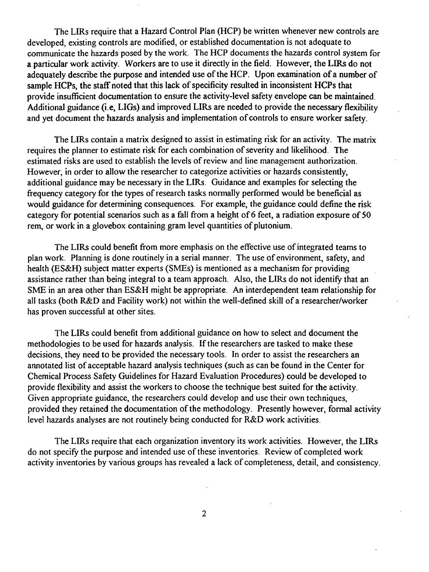The LIRs require that a Hazard Control Plan (HCP) be written whenever new controls are developed, existing controls are modified, or established documentation is not adequate to communicate the hazards posed by the work. The HCP documents the hazards control system for a particular work activity. Workers are to use it directly in the field. However, the LIRs do not adequately describe the purpose and intended use of the HCP. Upon examination of a number of sample HCPs, the staff noted that this lack of specificity resulted in inconsistent HCPs that provide insufficient documentation to ensure the activity-level safety envelope can be maintained. Additional guidance (i.e, LIGs) and improved LIRs are needed to provide the necessary flexibility and yet document the hazards analysis and implementation of controls to ensure worker safety.

The LIRs contain a matrix designed to assist in estimating risk for an activity. The matrix requires the planner to estimate risk for each combination of severity and likelihood. The estimated risks are used to establish the levels of review and line management authorization. However, in order to allow the researcher to categorize activities or hazards consistently, additional guidance may be necessary in the LIRs. Guidance and examples for selecting the frequency category for the types of research tasks normally performed would be beneficial as would guidance for determining consequences. For example, the guidance could define the risk category for potential scenarios such as a fall from a height of 6 feet, a radiation exposure of 50 rem, or work in a glovebox containing gram level quantities of plutonium.

The LIRs could benefit from more emphasis on the effective use ofintegrated teams to plan work. Planning is done routinely in a serial manner. The use of environment, safety, and health (ES&H) subject matter experts (SMEs) is mentioned as a mechanism for providing assistance rather than being integral to a team approach. Also, the LIRs do not identify that an SME in an area other than ES&H might be appropriate. An interdependent team relationship for all tasks (both R&D and Facility work) not within the well-defined skill of a researcher/worker has proven successful at other sites.

The LIRs could benefit from additional guidance on how to select and document the methodologies to be used for hazards analysis. If the researchers are tasked to make these decisions, they need to be provided the necessary tools. In order to assist the researchers an annotated list of acceptable hazard analysis techniques (such as can be found in the Center for Chemical Process Safety Guidelines for Hazard Evaluation Procedures) could be developed to provide flexibility and assist the workers to choose the technique best suited for the activity. Given appropriate guidance, the researchers could develop and use their own techniques, provided they retained the documentation of the methodology. Presently however, formal activity level hazards analyses are not routinely being conducted for R&D work activities.

The LIRs require that each organization inventory its work activities. However, the LIRs do not specify the purpose and intended use of these inventories. Review of completed work activity inventories by various groups has revealed a lack of completeness, detail, and consistency.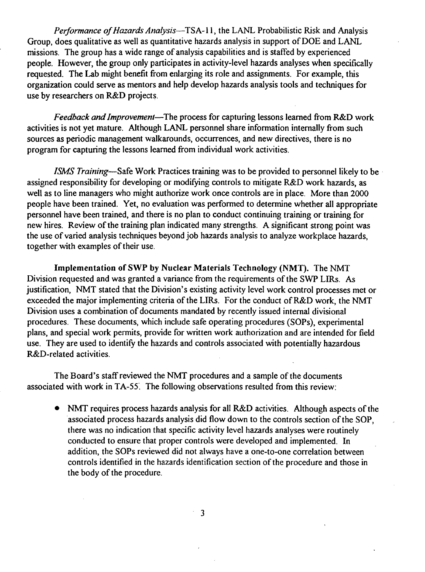*Performance of Hazards Analysis*—TSA-11, the LANL Probabilistic Risk and Analysis Group, does qualitative as well as quantitative hazards analysis in support of DOE and LANL missions. The group has a wide range of analysis capabilities and is staffed by experienced people. However, the group only participates in activity-level hazards analyses when specifically requested. The Lab might benefit from enlarging its role and assignments. For example, this organization could serve as mentors and help develop hazards analysis tools and techniques for use by researchers on R&D projects.

*Feedback and Improvement-The* process for capturing lessons learned from R&D work activities is not yet mature. Although LANL personnel share information internally from such sources as periodic management walkarounds, occurrences, and new directives, there is no program for capturing the lessons learned from individual work activities.

*ISMS Training-Safe* Work Practices training was to be provided to personnel likely to be . assigned responsibility for developing or modifying controls to mitigate R&D work hazards, as well as to line managers who might authorize work once controls are in place. More than 2000 people have been trained. Yet, no evaluation was performed to determine whether all appropriate personnel have been trained, and there is no plan to conduct continuing training or training for new hires. Review of the training plan indicated many strengths. A significant strong point was the use of varied analysis techniques beyond job hazards analysis to analyze workplace hazards, together with examples of their use.

Implementation of SWP by Nuclear Materials Technology (NMT). The NMT Division requested and was granted a variance from the requirements ofthe SWP LIRs. As justification, NMT stated that the Division's existing activity level work control processes met or exceeded the major implementing criteria of the LIRs. For the conduct of R&D work, the NMT Division uses a combination of documents mandated by recently issued internal divisional procedures. These documents, which include safe operating procedures (SOPs), experimental plans, and special work permits, provide for written work authorization and are intended for field use. They are used to identify the hazards and controls associated with potentially hazardous R&D-related activities.

The Board's staff reviewed the NMT procedures and a sample of the documents associated with work in TA-55. The following observations resulted from this review:

• NMT requires process hazards analysis for all R&D activities. Although aspects of the associated process hazards analysis did flow down to the controls section ofthe SOP, there was no indication that specific activity level hazards analyses were routinely conducted to ensure that proper controls were developed and implemented. In addition, the SOPs reviewed did not always have a one-to-one correlation between controls identified in the hazards identification section of the procedure and those in the body of the procedure.